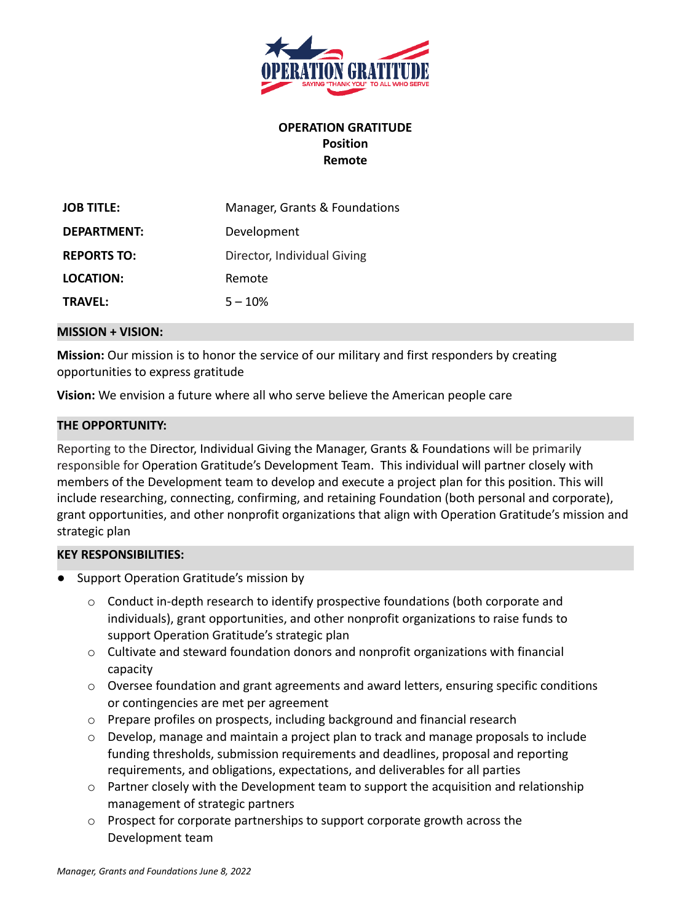

# **OPERATION GRATITUDE Position Remote**

| <b>JOB TITLE:</b>  | Manager, Grants & Foundations |
|--------------------|-------------------------------|
| DEPARTMENT:        | Development                   |
| <b>REPORTS TO:</b> | Director, Individual Giving   |
| LOCATION:          | Remote                        |
| <b>TRAVFL:</b>     | $5 - 10%$                     |

#### **MISSION + VISION:**

**Mission:** Our mission is to honor the service of our military and first responders by creating opportunities to express gratitude

**Vision:** We envision a future where all who serve believe the American people care

### **THE OPPORTUNITY:**

Reporting to the Director, Individual Giving the Manager, Grants & Foundations will be primarily responsible for Operation Gratitude's Development Team. This individual will partner closely with members of the Development team to develop and execute a project plan for this position. This will include researching, connecting, confirming, and retaining Foundation (both personal and corporate), grant opportunities, and other nonprofit organizations that align with Operation Gratitude's mission and strategic plan

### **KEY RESPONSIBILITIES:**

- Support Operation Gratitude's mission by
	- o Conduct in-depth research to identify prospective foundations (both corporate and individuals), grant opportunities, and other nonprofit organizations to raise funds to support Operation Gratitude's strategic plan
	- $\circ$  Cultivate and steward foundation donors and nonprofit organizations with financial capacity
	- $\circ$  Oversee foundation and grant agreements and award letters, ensuring specific conditions or contingencies are met per agreement
	- o Prepare profiles on prospects, including background and financial research
	- o Develop, manage and maintain a project plan to track and manage proposals to include funding thresholds, submission requirements and deadlines, proposal and reporting requirements, and obligations, expectations, and deliverables for all parties
	- $\circ$  Partner closely with the Development team to support the acquisition and relationship management of strategic partners
	- o Prospect for corporate partnerships to support corporate growth across the Development team